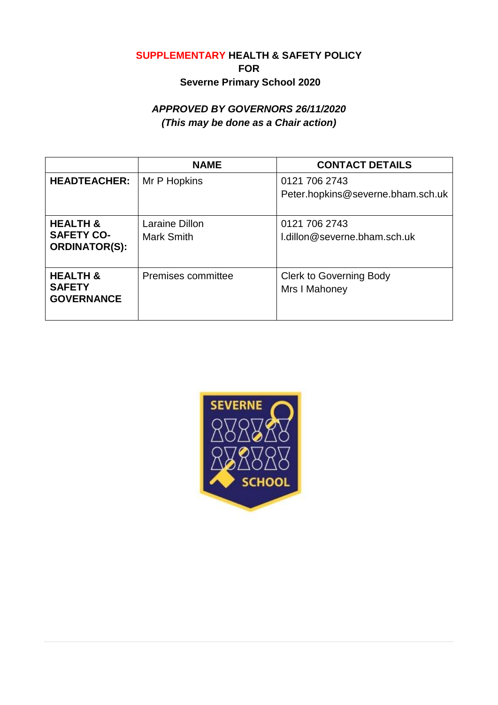## **SUPPLEMENTARY HEALTH & SAFETY POLICY FOR Severne Primary School 2020**

# *APPROVED BY GOVERNORS 26/11/2020 (This may be done as a Chair action)*

|                                                                  | <b>NAME</b>                         | <b>CONTACT DETAILS</b>                             |
|------------------------------------------------------------------|-------------------------------------|----------------------------------------------------|
| <b>HEADTEACHER:</b>                                              | Mr P Hopkins                        | 0121 706 2743<br>Peter.hopkins@severne.bham.sch.uk |
| <b>HEALTH &amp;</b><br><b>SAFETY CO-</b><br><b>ORDINATOR(S):</b> | Laraine Dillon<br><b>Mark Smith</b> | 0121 706 2743<br>l.dillon@severne.bham.sch.uk      |
| <b>HEALTH &amp;</b><br><b>SAFETY</b><br><b>GOVERNANCE</b>        | Premises committee                  | <b>Clerk to Governing Body</b><br>Mrs I Mahoney    |

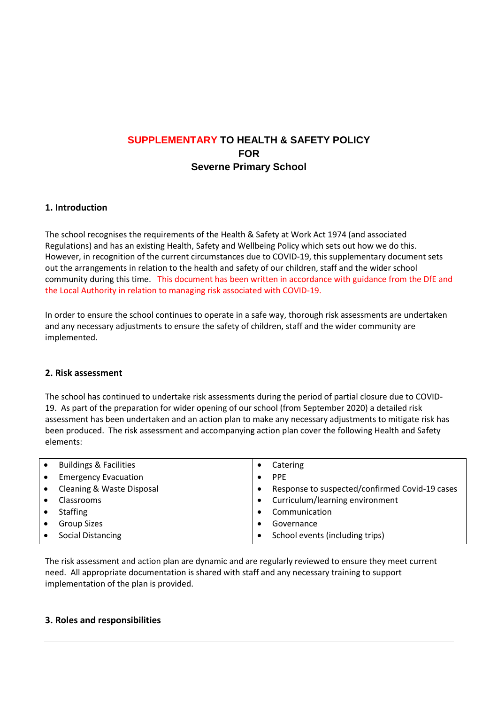## **SUPPLEMENTARY TO HEALTH & SAFETY POLICY FOR Severne Primary School**

#### **1. Introduction**

The school recognises the requirements of the Health & Safety at Work Act 1974 (and associated Regulations) and has an existing Health, Safety and Wellbeing Policy which sets out how we do this. However, in recognition of the current circumstances due to COVID-19, this supplementary document sets out the arrangements in relation to the health and safety of our children, staff and the wider school community during this time. This document has been written in accordance with guidance from the DfE and the Local Authority in relation to managing risk associated with COVID-19.

In order to ensure the school continues to operate in a safe way, thorough risk assessments are undertaken and any necessary adjustments to ensure the safety of children, staff and the wider community are implemented.

#### **2. Risk assessment**

The school has continued to undertake risk assessments during the period of partial closure due to COVID-19. As part of the preparation for wider opening of our school (from September 2020) a detailed risk assessment has been undertaken and an action plan to make any necessary adjustments to mitigate risk has been produced. The risk assessment and accompanying action plan cover the following Health and Safety elements:

| $\bullet$ | <b>Buildings &amp; Facilities</b> | Catering                                       |
|-----------|-----------------------------------|------------------------------------------------|
| $\bullet$ | <b>Emergency Evacuation</b>       | <b>PPF</b>                                     |
| $\bullet$ | Cleaning & Waste Disposal         | Response to suspected/confirmed Covid-19 cases |
|           | <b>Classrooms</b>                 | Curriculum/learning environment                |
|           | <b>Staffing</b>                   | Communication                                  |
| $\bullet$ | <b>Group Sizes</b>                | Governance                                     |
|           | <b>Social Distancing</b>          | School events (including trips)                |

The risk assessment and action plan are dynamic and are regularly reviewed to ensure they meet current need. All appropriate documentation is shared with staff and any necessary training to support implementation of the plan is provided.

#### **3. Roles and responsibilities**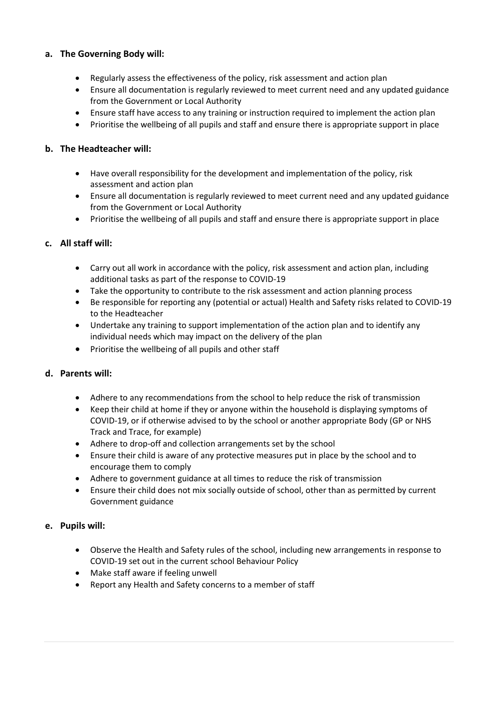### **a. The Governing Body will:**

- Regularly assess the effectiveness of the policy, risk assessment and action plan
- Ensure all documentation is regularly reviewed to meet current need and any updated guidance from the Government or Local Authority
- Ensure staff have access to any training or instruction required to implement the action plan
- Prioritise the wellbeing of all pupils and staff and ensure there is appropriate support in place

### **b. The Headteacher will:**

- Have overall responsibility for the development and implementation of the policy, risk assessment and action plan
- Ensure all documentation is regularly reviewed to meet current need and any updated guidance from the Government or Local Authority
- Prioritise the wellbeing of all pupils and staff and ensure there is appropriate support in place

#### **c. All staff will:**

- Carry out all work in accordance with the policy, risk assessment and action plan, including additional tasks as part of the response to COVID-19
- Take the opportunity to contribute to the risk assessment and action planning process
- Be responsible for reporting any (potential or actual) Health and Safety risks related to COVID-19 to the Headteacher
- Undertake any training to support implementation of the action plan and to identify any individual needs which may impact on the delivery of the plan
- Prioritise the wellbeing of all pupils and other staff

#### **d. Parents will:**

- Adhere to any recommendations from the school to help reduce the risk of transmission
- Keep their child at home if they or anyone within the household is displaying symptoms of COVID-19, or if otherwise advised to by the school or another appropriate Body (GP or NHS Track and Trace, for example)
- Adhere to drop-off and collection arrangements set by the school
- Ensure their child is aware of any protective measures put in place by the school and to encourage them to comply
- Adhere to government guidance at all times to reduce the risk of transmission
- Ensure their child does not mix socially outside of school, other than as permitted by current Government guidance

#### **e. Pupils will:**

- Observe the Health and Safety rules of the school, including new arrangements in response to COVID-19 set out in the current school Behaviour Policy
- Make staff aware if feeling unwell
- Report any Health and Safety concerns to a member of staff